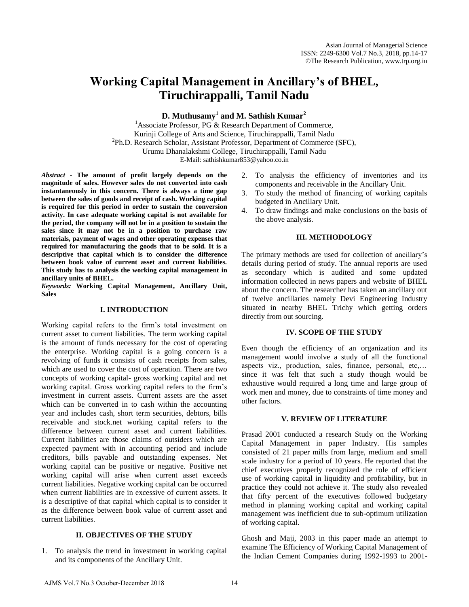# **Working Capital Management in Ancillary's of BHEL, Tiruchirappalli, Tamil Nadu**

**D. Muthusamy<sup>1</sup> and M. Sathish Kumar<sup>2</sup>**

<sup>1</sup>Associate Professor, PG  $\&$  Research Department of Commerce, Kurinji College of Arts and Science, Tiruchirappalli, Tamil Nadu <sup>2</sup>Ph.D. Research Scholar, Assistant Professor, Department of Commerce (SFC), Urumu Dhanalakshmi College, Tiruchirappalli, Tamil Nadu E-Mail: sathishkumar853@yahoo.co.in

*Abstract* **- The amount of profit largely depends on the magnitude of sales. However sales do not converted into cash instantaneously in this concern. There is always a time gap between the sales of goods and receipt of cash. Working capital is required for this period in order to sustain the conversion activity. In case adequate working capital is not available for the period, the company will not be in a position to sustain the sales since it may not be in a position to purchase raw materials, payment of wages and other operating expenses that required for manufacturing the goods that to be sold. It is a descriptive that capital which is to consider the difference between book value of current asset and current liabilities.** 

**This study has to analysis the working capital management in ancillary units of BHEL.**  *Keywords:* **Working Capital Management, Ancillary Unit, Sales**

### **I. INTRODUCTION**

Working capital refers to the firm's total investment on current asset to current liabilities. The term working capital is the amount of funds necessary for the cost of operating the enterprise. Working capital is a going concern is a revolving of funds it consists of cash receipts from sales, which are used to cover the cost of operation. There are two concepts of working capital- gross working capital and net working capital. Gross working capital refers to the firm's investment in current assets. Current assets are the asset which can be converted in to cash within the accounting year and includes cash, short term securities, debtors, bills receivable and stock.net working capital refers to the difference between current asset and current liabilities. Current liabilities are those claims of outsiders which are expected payment with in accounting period and include creditors, bills payable and outstanding expenses. Net working capital can be positive or negative. Positive net working capital will arise when current asset exceeds current liabilities. Negative working capital can be occurred when current liabilities are in excessive of current assets. It is a descriptive of that capital which capital is to consider it as the difference between book value of current asset and current liabilities.

## **II. OBJECTIVES OF THE STUDY**

1. To analysis the trend in investment in working capital and its components of the Ancillary Unit.

- 2. To analysis the efficiency of inventories and its components and receivable in the Ancillary Unit.
- 3. To study the method of financing of working capitals budgeted in Ancillary Unit.
- 4. To draw findings and make conclusions on the basis of the above analysis.

## **III. METHODOLOGY**

The primary methods are used for collection of ancillary's details during period of study. The annual reports are used as secondary which is audited and some updated information collected in news papers and website of BHEL about the concern. The researcher has taken an ancillary out of twelve ancillaries namely Devi Engineering Industry situated in nearby BHEL Trichy which getting orders directly from out sourcing.

### **IV. SCOPE OF THE STUDY**

Even though the efficiency of an organization and its management would involve a study of all the functional aspects viz., production, sales, finance, personal, etc,… since it was felt that such a study though would be exhaustive would required a long time and large group of work men and money, due to constraints of time money and other factors.

## **V. REVIEW OF LITERATURE**

Prasad 2001 conducted a research Study on the Working Capital Management in paper Industry. His samples consisted of 21 paper mills from large, medium and small scale industry for a period of 10 years. He reported that the chief executives properly recognized the role of efficient use of working capital in liquidity and profitability, but in practice they could not achieve it. The study also revealed that fifty percent of the executives followed budgetary method in planning working capital and working capital management was inefficient due to sub-optimum utilization of working capital.

Ghosh and Maji, 2003 in this paper made an attempt to examine The Efficiency of Working Capital Management of the Indian Cement Companies during 1992-1993 to 2001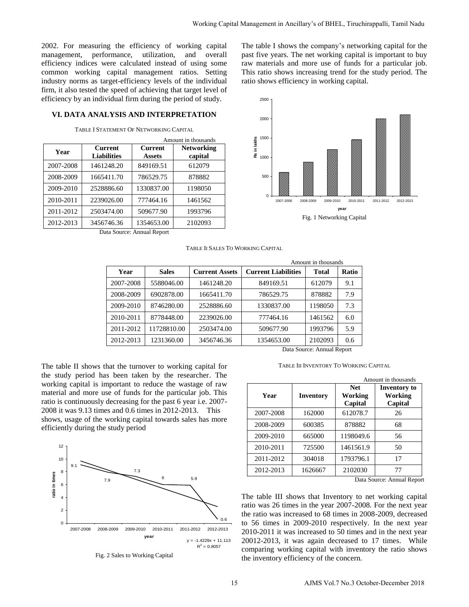2002. For measuring the efficiency of working capital management, performance, utilization, and overall efficiency indices were calculated instead of using some common working capital management ratios. Setting industry norms as target-efficiency levels of the individual firm, it also tested the speed of achieving that target level of efficiency by an individual firm during the period of study.

#### **VI. DATA ANALYSIS AND INTERPRETATION**

TABLE I STATEMENT OF NETWORKING CAPITAL

| <b>Networking</b><br><b>Current</b>                             |
|-----------------------------------------------------------------|
| capital<br>Assets                                               |
| 849169.51<br>612079                                             |
| 786529.75<br>878882                                             |
| 1330837.00<br>1198050                                           |
| 777464.16<br>1461562                                            |
| 509677.90<br>1993796                                            |
| 1354653.00<br>2102093                                           |
| $\mathbf{A}$ and $\mathbf{A}$ and $\mathbf{A}$ and $\mathbf{A}$ |

The table I shows the company's networking capital for the past five years. The net working capital is important to buy raw materials and more use of funds for a particular job. This ratio shows increasing trend for the study period. The ratio shows efficiency in working capital.



Data Source: Annual Report

TABLE II SALES TO WORKING CAPITAL

|                            | Amount in thousands |                       |                            |              |       |
|----------------------------|---------------------|-----------------------|----------------------------|--------------|-------|
| Year                       | <b>Sales</b>        | <b>Current Assets</b> | <b>Current Liabilities</b> | <b>Total</b> | Ratio |
| 2007-2008                  | 5588046.00          | 1461248.20            | 849169.51                  | 612079       | 9.1   |
| 2008-2009                  | 6902878.00          | 1665411.70            | 786529.75                  | 878882       | 7.9   |
| 2009-2010                  | 8746280.00          | 2528886.60            | 1330837.00                 | 1198050      | 7.3   |
| 2010-2011                  | 8778448.00          | 2239026.00            | 777464.16                  | 1461562      | 6.0   |
| 2011-2012                  | 11728810.00         | 2503474.00            | 509677.90                  | 1993796      | 5.9   |
| 2012-2013                  | 1231360.00          | 3456746.36            | 1354653.00                 | 2102093      | 0.6   |
| Data Source: Annual Report |                     |                       |                            |              |       |

The table II shows that the turnover to working capital for the study period has been taken by the researcher. The working capital is important to reduce the wastage of raw material and more use of funds for the particular job. This ratio is continuously decreasing for the past 6 year i.e. 2007- 2008 it was 9.13 times and 0.6 times in 2012-2013. This shows, usage of the working capital towards sales has more efficiently during the study period



TABLE III INVENTORY TO WORKING CAPITAL

|           |           | Amount in thousands              |                                           |  |
|-----------|-----------|----------------------------------|-------------------------------------------|--|
| Year      | Inventory | <b>Net</b><br>Working<br>Capital | <b>Inventory to</b><br>Working<br>Capital |  |
| 2007-2008 | 162000    | 612078.7                         | 26                                        |  |
| 2008-2009 | 600385    | 878882                           | 68                                        |  |
| 2009-2010 | 665000    | 1198049.6                        | 56                                        |  |
| 2010-2011 | 725500    | 1461561.9                        | 50                                        |  |
| 2011-2012 | 304018    | 1793796.1                        | 17                                        |  |
| 2012-2013 | 1626667   | 2102030<br>-                     | 77<br>. .                                 |  |

Data Source: Annual Report

The table III shows that Inventory to net working capital ratio was 26 times in the year 2007-2008. For the next year the ratio was increased to 68 times in 2008-2009, decreased to 56 times in 2009-2010 respectively. In the next year 2010-2011 it was increased to 50 times and in the next year 20012-2013, it was again decreased to 17 times. While comparing working capital with inventory the ratio shows the inventory efficiency of the concern.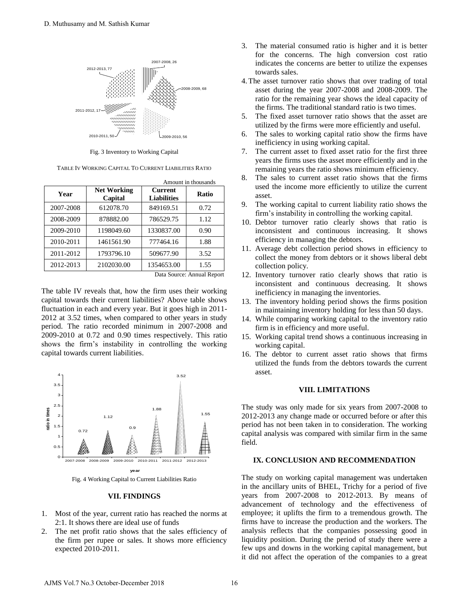

Fig. 3 Inventory to Working Capital

| TABLE IV WORKING CAPITAL TO CURRENT LIABILITIES RATIO |  |
|-------------------------------------------------------|--|
|-------------------------------------------------------|--|

| Year      | <b>Net Working</b><br>Capital | <b>Current</b><br><b>Liabilities</b> | <b>Ratio</b> |
|-----------|-------------------------------|--------------------------------------|--------------|
| 2007-2008 | 612078.70                     | 849169.51                            | 0.72         |
| 2008-2009 | 878882.00                     | 786529.75                            | 1.12         |
| 2009-2010 | 1198049.60                    | 1330837.00                           | 0.90         |
| 2010-2011 | 1461561.90                    | 777464.16                            | 1.88         |
| 2011-2012 | 1793796.10                    | 509677.90                            | 3.52         |
| 2012-2013 | 2102030.00                    | 1354653.00                           | 1.55         |

Data Source: Annual Report

Amount in thousands

The table IV reveals that, how the firm uses their working capital towards their current liabilities? Above table shows fluctuation in each and every year. But it goes high in 2011- 2012 at 3.52 times, when compared to other years in study period. The ratio recorded minimum in 2007-2008 and 2009-2010 at 0.72 and 0.90 times respectively. This ratio shows the firm's instability in controlling the working capital towards current liabilities.



#### **VII. FINDINGS**

- 1. Most of the year, current ratio has reached the norms at 2:1. It shows there are ideal use of funds
- 2. The net profit ratio shows that the sales efficiency of the firm per rupee or sales. It shows more efficiency expected 2010-2011.
- 3. The material consumed ratio is higher and it is better for the concerns. The high conversion cost ratio indicates the concerns are better to utilize the expenses towards sales.
- 4.The asset turnover ratio shows that over trading of total asset during the year 2007-2008 and 2008-2009. The ratio for the remaining year shows the ideal capacity of the firms. The traditional standard ratio is two times.
- 5. The fixed asset turnover ratio shows that the asset are utilized by the firms were more efficiently and useful.
- 6. The sales to working capital ratio show the firms have inefficiency in using working capital.
- 7. The current asset to fixed asset ratio for the first three years the firms uses the asset more efficiently and in the remaining years the ratio shows minimum efficiency.
- 8. The sales to current asset ratio shows that the firms used the income more efficiently to utilize the current asset.
- 9. The working capital to current liability ratio shows the firm's instability in controlling the working capital.
- 10. Debtor turnover ratio clearly shows that ratio is inconsistent and continuous increasing. It shows efficiency in managing the debtors.
- 11. Average debt collection period shows in efficiency to collect the money from debtors or it shows liberal debt collection policy.
- 12. Inventory turnover ratio clearly shows that ratio is inconsistent and continuous decreasing. It shows inefficiency in managing the inventories.
- 13. The inventory holding period shows the firms position in maintaining inventory holding for less than 50 days.
- 14. While comparing working capital to the inventory ratio firm is in efficiency and more useful.
- 15. Working capital trend shows a continuous increasing in working capital.
- 16. The debtor to current asset ratio shows that firms utilized the funds from the debtors towards the current asset.

## **VIII. LIMITATIONS**

The study was only made for six years from 2007-2008 to 2012-2013 any change made or occurred before or after this period has not been taken in to consideration. The working capital analysis was compared with similar firm in the same field.

## **IX. CONCLUSION AND RECOMMENDATION**

The study on working capital management was undertaken in the ancillary units of BHEL, Trichy for a period of five years from 2007-2008 to 2012-2013. By means of advancement of technology and the effectiveness of employee; it uplifts the firm to a tremendous growth. The firms have to increase the production and the workers. The analysis reflects that the companies possessing good in liquidity position. During the period of study there were a few ups and downs in the working capital management, but it did not affect the operation of the companies to a great